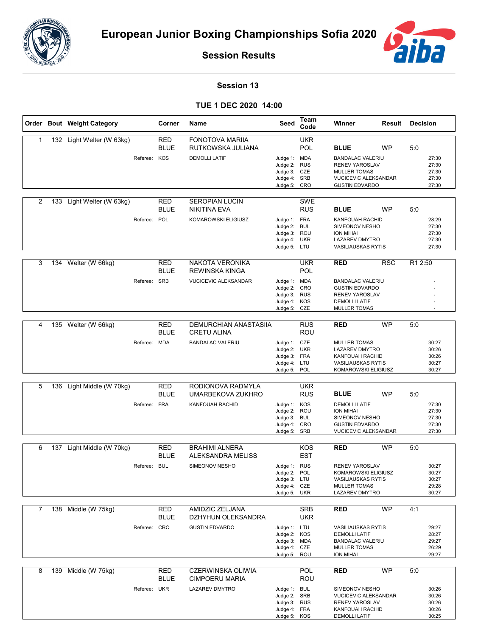



**Session Results**

## **Session 13**

## **TUE 1 DEC 2020 14:00**

|   |     | Order Bout Weight Category |              | Corner                    | Name                                               | Seed                                                                         | Team<br>Code             | Winner                                                                                                                          | Result     | <b>Decision</b> |                                           |
|---|-----|----------------------------|--------------|---------------------------|----------------------------------------------------|------------------------------------------------------------------------------|--------------------------|---------------------------------------------------------------------------------------------------------------------------------|------------|-----------------|-------------------------------------------|
| 1 |     | 132 Light Welter (W 63kg)  |              | <b>RED</b><br><b>BLUE</b> | <b>FONOTOVA MARIIA</b><br>RUTKOWSKA JULIANA        |                                                                              | <b>UKR</b><br>POL        | <b>BLUE</b>                                                                                                                     | <b>WP</b>  | 5:0             |                                           |
|   |     |                            | Referee: KOS |                           | <b>DEMOLLI LATIF</b>                               | Judge 1: MDA<br>Judge 2:<br>Judge 3: CZE<br>Judge 4: SRB<br>Judge 5: CRO     | <b>RUS</b>               | <b>BANDALAC VALERIU</b><br><b>RENEV YAROSLAV</b><br><b>MULLER TOMAS</b><br><b>VUCICEVIC ALEKSANDAR</b><br><b>GUSTIN EDVARDO</b> |            |                 | 27:30<br>27:30<br>27:30<br>27:30<br>27:30 |
| 2 | 133 | Light Welter (W 63kg)      |              | <b>RED</b><br><b>BLUE</b> | <b>SEROPIAN LUCIN</b><br><b>NIKITINA EVA</b>       |                                                                              | <b>SWE</b><br><b>RUS</b> | <b>BLUE</b>                                                                                                                     | <b>WP</b>  | 5:0             |                                           |
|   |     |                            | Referee:     | POL                       | KOMAROWSKI ELIGIUSZ                                | Judge 1: FRA<br>Judge 2:<br>Judge 3: ROU<br>Judge 4: UKR<br>Judge 5: LTU     | BUL                      | KANFOUAH RACHID<br>SIMEONOV NESHO<br><b>ION MIHAI</b><br><b>LAZAREV DMYTRO</b><br><b>VASILIAUSKAS RYTIS</b>                     |            |                 | 28:29<br>27:30<br>27:30<br>27:30<br>27:30 |
| 3 |     | 134 Welter (W 66kg)        |              | <b>RED</b><br><b>BLUE</b> | NAKOTA VERONIKA<br><b>REWINSKA KINGA</b>           |                                                                              | <b>UKR</b><br>POL        | <b>RED</b>                                                                                                                      | <b>RSC</b> | R1 2:50         |                                           |
|   |     |                            | Referee: SRB |                           | <b>VUCICEVIC ALEKSANDAR</b>                        | Judge 1: MDA<br>Judge 2: CRO<br>Judge 3: RUS<br>Judge 4: KOS<br>Judge 5: CZE |                          | <b>BANDALAC VALERIU</b><br><b>GUSTIN EDVARDO</b><br><b>RENEV YAROSLAV</b><br><b>DEMOLLI LATIF</b><br><b>MULLER TOMAS</b>        |            |                 |                                           |
| 4 |     | 135 Welter (W 66kg)        |              | RED<br><b>BLUE</b>        | <b>DEMURCHIAN ANASTASIIA</b><br><b>CRETU ALINA</b> |                                                                              | <b>RUS</b><br><b>ROU</b> | <b>RED</b>                                                                                                                      | <b>WP</b>  | 5:0             |                                           |
|   |     |                            | Referee: MDA |                           | <b>BANDALAC VALERIU</b>                            | Judge 1: CZE<br>Judge 2: UKR<br>Judge 3: FRA<br>Judge 4: LTU<br>Judge 5: POL |                          | <b>MULLER TOMAS</b><br><b>LAZAREV DMYTRO</b><br>KANFOUAH RACHID<br><b>VASILIAUSKAS RYTIS</b><br>KOMAROWSKI ELIGIUSZ             |            |                 | 30:27<br>30:26<br>30:26<br>30:27<br>30:27 |
|   |     |                            |              |                           |                                                    |                                                                              |                          |                                                                                                                                 |            |                 |                                           |
| 5 |     | 136 Light Middle (W 70kg)  |              | RED<br><b>BLUE</b>        | RODIONOVA RADMYLA<br>UMARBEKOVA ZUKHRO             |                                                                              | <b>UKR</b><br><b>RUS</b> | <b>BLUE</b>                                                                                                                     | <b>WP</b>  | 5:0             |                                           |
|   |     |                            | Referee:     | <b>FRA</b>                | <b>KANFOUAH RACHID</b>                             | Judge 1: KOS<br>Judge 2: ROU<br>Judge 3: BUL<br>Judge 4: CRO<br>Judge 5: SRB |                          | <b>DEMOLLI LATIF</b><br><b>ION MIHAI</b><br>SIMEONOV NESHO<br><b>GUSTIN EDVARDO</b><br>VUCICEVIC ALEKSANDAR                     |            |                 | 27:30<br>27:30<br>27:30<br>27:30<br>27:30 |
| 6 | 137 | Light Middle (W 70kg)      |              | RED                       | <b>BRAHIMI ALNERA</b>                              |                                                                              | KOS                      | <b>RED</b>                                                                                                                      | <b>WP</b>  | 5:0             |                                           |
|   |     |                            |              | <b>BLUE</b>               | ALEKSANDRA MELISS                                  |                                                                              | <b>EST</b>               |                                                                                                                                 |            |                 |                                           |
|   |     |                            | Referee: BUL |                           | SIMEONOV NESHO                                     | Judge 1: RUS<br>Judge 2: POL<br>Judge 3: LTU<br>Judge 4: CZE<br>Judge 5: UKR |                          | <b>RENEV YAROSLAV</b><br>KOMAROWSKI ELIGIUSZ<br><b>VASILIAUSKAS RYTIS</b><br><b>MULLER TOMAS</b><br>LAZAREV DMYTRO              |            |                 | 30:27<br>30:27<br>30:27<br>29:28<br>30:27 |
| 7 |     | 138 Middle (W 75kg)        |              | RED                       | AMIDZIC ZELJANA                                    |                                                                              | <b>SRB</b>               | <b>RED</b>                                                                                                                      | <b>WP</b>  | 4:1             |                                           |
|   |     |                            |              | <b>BLUE</b>               | DZHYHUN OLEKSANDRA                                 |                                                                              | <b>UKR</b>               |                                                                                                                                 |            |                 |                                           |
|   |     |                            | Referee: CRO |                           | <b>GUSTIN EDVARDO</b>                              | Judge 1: LTU<br>Judge 2: KOS<br>Judge 3: MDA<br>Judge 4: CZE<br>Judge 5: ROU |                          | <b>VASILIAUSKAS RYTIS</b><br><b>DEMOLLI LATIF</b><br><b>BANDALAC VALERIU</b><br><b>MULLER TOMAS</b><br>ION MIHAI                |            |                 | 29:27<br>28:27<br>29:27<br>26:29<br>29:27 |
| 8 |     | 139 Middle (W 75kg)        |              | <b>RED</b>                | <b>CZERWINSKA OLIWIA</b>                           |                                                                              | POL                      | <b>RED</b>                                                                                                                      | WP         | 5:0             |                                           |
|   |     |                            | Referee: UKR | BLUE                      | CIMPOERU MARIA<br>LAZAREV DMYTRO                   | Judge 1: BUL<br>Judge 2: SRB<br>Judge 3: RUS<br>Judge 4: FRA<br>Judge 5: KOS | <b>ROU</b>               | SIMEONOV NESHO<br>VUCICEVIC ALEKSANDAR<br><b>RENEV YAROSLAV</b><br>KANFOUAH RACHID<br><b>DEMOLLI LATIF</b>                      |            |                 | 30:26<br>30:26<br>30:26<br>30:26<br>30:25 |